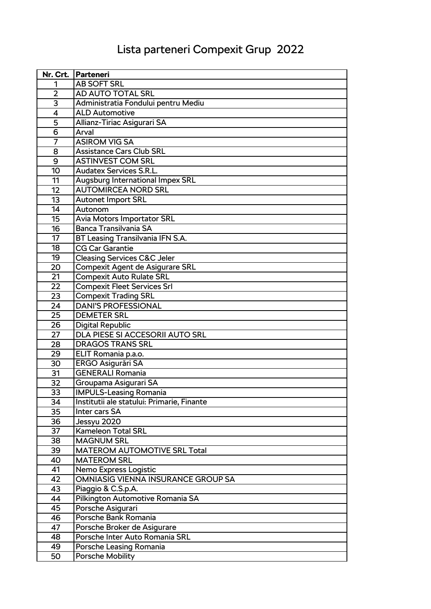## Lista parteneri Compexit Grup 2022

|                | Nr. Crt.   Parteneri                       |
|----------------|--------------------------------------------|
| 1              | <b>AB SOFT SRL</b>                         |
| $\overline{2}$ | AD AUTO TOTAL SRL                          |
| 3              | Administratia Fondului pentru Mediu        |
| 4              | <b>ALD Automotive</b>                      |
| 5              | Allianz-Tiriac Asigurari SA                |
| 6              | Arval                                      |
| 7              | <b>ASIROM VIG SA</b>                       |
| 8              | <b>Assistance Cars Club SRL</b>            |
| 9              | <b>ASTINVEST COM SRL</b>                   |
| 10             | <b>Audatex Services S.R.L.</b>             |
| 11             | Augsburg International Impex SRL           |
| 12             | <b>AUTOMIRCEA NORD SRL</b>                 |
| 13             | <b>Autonet Import SRL</b>                  |
| 14             | Autonom                                    |
| 15             | <b>Avia Motors Importator SRL</b>          |
| 16             | <b>Banca Transilvania SA</b>               |
| 17             | BT Leasing Transilvania IFN S.A.           |
| 18             | <b>CG Car Garantie</b>                     |
| 19             | <b>Cleasing Services C&amp;C Jeler</b>     |
| 20             | <b>Compexit Agent de Asigurare SRL</b>     |
| 21             | <b>Compexit Auto Rulate SRL</b>            |
| 22             | <b>Compexit Fleet Services Srl</b>         |
| 23             | <b>Compexit Trading SRL</b>                |
| 24             | <b>DANI'S PROFESSIONAL</b>                 |
| 25             | <b>DEMETER SRL</b>                         |
| 26             | <b>Digital Republic</b>                    |
| 27             | DLA PIESE SI ACCESORII AUTO SRL            |
| 28             | <b>DRAGOS TRANS SRL</b>                    |
| 29             | ELIT Romania p.a.o.                        |
| 30             | <b>ERGO Asigurări SA</b>                   |
| 31             | <b>GENERALI Romania</b>                    |
| 32             | Groupama Asigurari SA                      |
| 33             | <b>IMPULS-Leasing Romania</b>              |
| 34             | Institutii ale statului: Primarie, Finante |
| 35             | Inter cars SA                              |
| 36             | Jessyu 2020                                |
| 37             | <b>Kameleon Total SRL</b>                  |
| 38             | <b>MAGNUM SRL</b>                          |
| 39             | <b>MATEROM AUTOMOTIVE SRL Total</b>        |
| 40             | <b>MATEROM SRL</b>                         |
| 41             | Nemo Express Logistic                      |
| 42             | OMNIASIG VIENNA INSURANCE GROUP SA         |
| 43             | Piaggio & C.S.p.A.                         |
| 44             | Pilkington Automotive Romania SA           |
| 45             | Porsche Asigurari                          |
| 46             | Porsche Bank Romania                       |
| 47             | Porsche Broker de Asigurare                |
| 48             | Porsche Inter Auto Romania SRL             |
| 49             | Porsche Leasing Romania                    |
| 50             | <b>Porsche Mobility</b>                    |
|                |                                            |